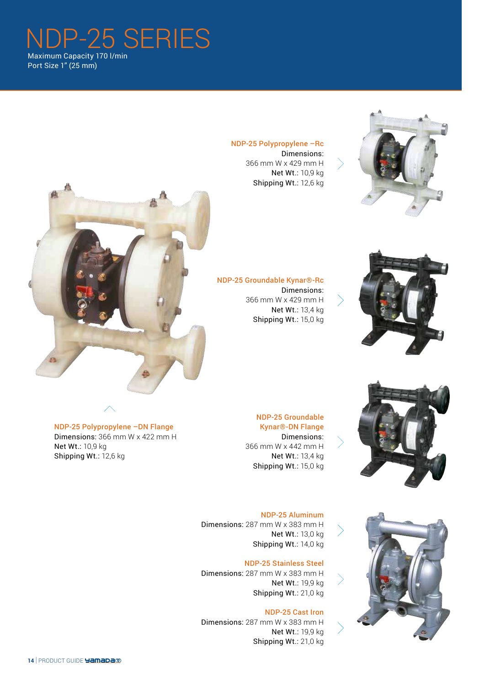NDP-25 SERIES Maximum Capacity 170 l/min Port Size 1" (25 mm)



Dimensions: 366 mm W x 429 mm H Net Wt.: 10,9 kg Shipping Wt.: 12,6 kg





NDP-25 Groundable Kynar®-Rc Dimensions: 366 mm W x 429 mm H Net Wt.: 13,4 kg Shipping Wt.: 15,0 kg





NDP-25 Aluminum

NDP-25 Groundable Kynar®-DN Flange Dimensions:

Net Wt.: 13,4 kg Shipping Wt.: 15,0 kg

Dimensions: 287 mm W x 383 mm H Net Wt.: 13,0 kg Shipping Wt.: 14,0 kg

### NDP-25 Stainless Steel

Dimensions: 287 mm W x 383 mm H Net Wt.: 19,9 kg Shipping Wt.: 21,0 kg

## NDP-25 Cast Iron

Dimensions: 287 mm W x 383 mm H Net Wt.: 19,9 kg Shipping Wt.: 21,0 kg